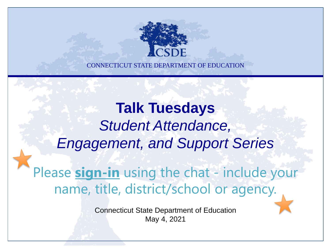

**Talk Tuesdays**  *Student Attendance, Engagement, and Support Series*

Please **sign-in** using the chat - include your name, title, district/school or agency.

> Connecticut State Department of Education May 4, 2021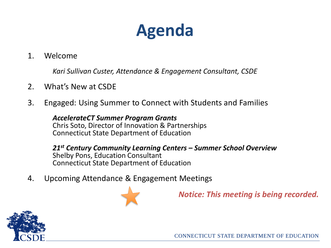# **Agenda**

1. Welcome

*Kari Sullivan Custer, Attendance & Engagement Consultant, CSDE*

- 2. What's New at CSDE
- 3. Engaged: Using Summer to Connect with Students and Families

*AccelerateCT Summer Program Grants* Chris Soto, Director of Innovation & Partnerships Connecticut State Department of Education

*21st Century Community Learning Centers – Summer School Overview* Shelby Pons, Education Consultant Connecticut State Department of Education

4. Upcoming Attendance & Engagement Meetings



*Notice: This meeting is being recorded.* 

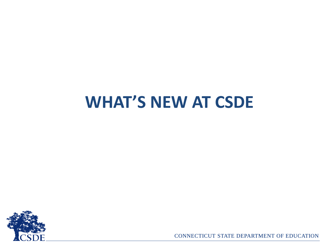# **WHAT'S NEW AT CSDE**

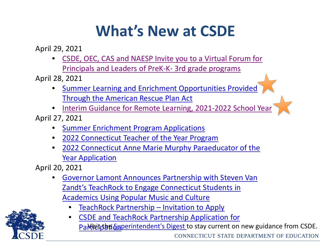# **What's New at CSDE**

April 29, 2021

• [CSDE, OEC, CAS and NAESP Invite you to a Virtual Forum for](https://portal.ct.gov/-/media/SDE/Digest/2020-21/Join-Us-Pre-K-3-Webinar-Event5-6-21.pdf)  Principals and Leaders of PreK-K- 3rd grade programs

April 28, 2021

- [Summer Learning and Enrichment Opportunities Provided](https://portal.ct.gov/-/media/Office-of-the-Governor/News/2021/20210426-Governor-Lamont-ARPA-allocation-plan-education.pdf) Through the American Rescue Plan Act
- [Interim Guidance for Remote Learning, 2021-2022 School Year](https://portal.ct.gov/-/media/SDE/Digest/2020-21/April-2021-CSDE-Initial-Guidance-re-Remote-Instruction-2021-2022.pdf) April 27, 2021
	- [Summer Enrichment Program Applications](https://portal.ct.gov/SDE/COVID19/AccelerateCT/Summer-Enrichment)
	- [2022 Connecticut Teacher of the Year Program](https://portal.ct.gov/-/media/SDE/Digest/2020-21/2022-Commisioners-Letter-CT-Teacher-of-the-Year-Programsigned.pdf)
	- [2022 Connecticut Anne Marie Murphy Paraeducator](https://portal.ct.gov/-/media/SDE/Digest/2020-21/2022-Anne-Marie-Murphy-Paraeducator-of-the-Year-AwardFF1MC.pdf) of the **Year Application**

April 20, 2021

- [Governor Lamont Announces Partnership with Steven Van](https://portal.ct.gov/Office-of-the-Governor/News/Press-Releases/2021/04-2021/Governor-Lamont-Announces-Partnership-With-TeachRock) Zandt's TeachRock to Engage Connecticut Students in Academics Using Popular Music and Culture
	- TeachRock Partnership [Invitation to Apply](https://portal.ct.gov/-/media/SDE/Digest/2020-21/Memo-to-Superintendents-TeachRock-Partnership-rev-042021.pdf)
	- CSDE and TeachRock Partnership Application for PaMitit the Superintendent's Digest to stay current on new guidance from CSDE. CONNECTICUT STATE DEPARTMENT OF EDUCATION

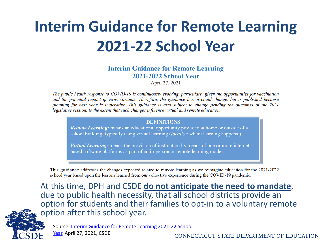# **Interim Guidance for Remote Learning 2021-22 School Year**

**Interim Guidance for Remote Learning 2021-2022 School Year** 

April 27, 2021

The public health response to COVID-19 is continuously evolving, particularly given the opportunities for vaccination and the potential impact of virus variants. Therefore, the guidance herein could change, but is published because planning for next year is imperative. This guidance is also subject to change pending the outcomes of the 2021 legislative session, to the extent that such changes influence virtual and remote education.

#### **DEFINITIONS**

**Remote Learning:** means an educational opportunity provided at home or outside of a school building, typically using virtual learning (location where learning happens.)

**Virtual Learning:** means the provision of instruction by means of one or more internetbased software platforms as part of an in-person or remote learning model.

This guidance addresses the changes expected related to remote learning as we reimagine education for the 2021-2022 school year based upon the lessons learned from our collective experience during the COVID-19 pandemic.

At this time, DPH and CSDE **do not anticipate the need to mandate**, due to public health necessity, that all school districts provide an option for students and their families to opt-in to a voluntary remote option after this school year.



[Source: Interim Guidance for Remote Learning 2021-22 School](https://portal.ct.gov/-/media/SDE/Digest/2020-21/April-2021-CSDE-Initial-Guidance-re-Remote-Instruction-2021-2022.pdf) 

Year, April 27, 2021, CSDE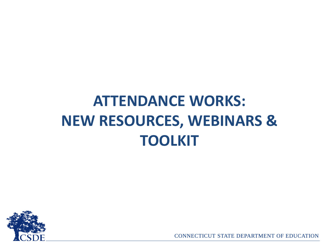# **ATTENDANCE WORKS: NEW RESOURCES, WEBINARS & TOOLKIT**

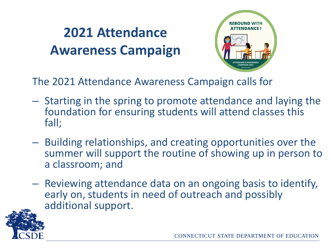## **2021 Attendance Awareness Campaign**



The 2021 Attendance Awareness Campaign calls for

- Starting in the spring to promote attendance and laying the foundation for ensuring students will attend classes this fall;
- Building relationships, and creating opportunities over the summer will support the routine of showing up in person to a classroom; and
- Reviewing attendance data on an ongoing basis to identify, early on, students in need of outreach and possibly additional support.

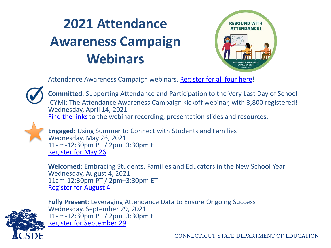## **2021 Attendance Awareness Campaign Webinars**



Attendance Awareness Campaign webinars. [Register for all four here!](https://awareness.attendanceworks.org/resources/webinars/)



**Committed**: Supporting Attendance and Participation to the Very Last Day of School ICYMI: The Attendance Awareness Campaign kickoff webinar, with 3,800 registered! Wednesday, April 14, 2021 [Find the links](https://awareness.attendanceworks.org/resources/webinars/) to the webinar recording, presentation slides and resources.



**Engaged**: Using Summer to Connect with Students and Families Wednesday, May 26, 2021 11am-12:30pm PT / 2pm–3:30pm ET [Register for May 26](https://zoom.us/webinar/register/WN_HLrJ50bdRvat3ofN6zfSMg)

**Welcomed**: Embracing Students, Families and Educators in the New School Year Wednesday, August 4, 2021 11am-12:30pm PT / 2pm–3:30pm ET [Register for August 4](https://zoom.us/webinar/register/WN_pt-PR5zgQA-OqE3llL-KZw)



**Fully Present**: Leveraging Attendance Data to Ensure Ongoing Success Wednesday, September 29, 2021 11am-12:30pm PT / 2pm–3:30pm ET [Register for September 29](https://zoom.us/webinar/register/WN_2bnjU-8KQZuwvLW2nHahQw)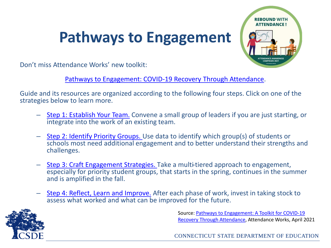## **Pathways to Engagement**



Don't miss Attendance Works' new toolkit:

[Pathways to Engagement: COVID-19 Recovery Through Attendance](https://www.attendanceworks.org/resources/toolkits/pathways-to-engagement-a-toolkit-for-covid-19-recovery-through-attendance/).

Guide and its resources are organized according to the following four steps. Click on one of the strategies below to learn more.

- [Step 1: Establish Your Team.](https://www.attendanceworks.org/resources/toolkits/pathways-to-engagement-a-toolkit-for-covid-19-recovery-through-attendance/step-1-establish-your-team/) Convene a small group of leaders if you are just starting, or integrate into the work of an existing team.
- [Step 2: Identify Priority Groups.](https://www.attendanceworks.org/resources/toolkits/pathways-to-engagement-a-toolkit-for-covid-19-recovery-through-attendance/step-2-identify-and-understand-priority-groups/) Use data to identify which group(s) of students or schools most need additional engagement and to better understand their strengths and challenges.
- [Step 3: Craft Engagement Strategies.](https://www.attendanceworks.org/resources/toolkits/pathways-to-engagement-a-toolkit-for-covid-19-recovery-through-attendance/step-3-craft-engagement-strategies/) Take a multi-tiered approach to engagement, especially for priority student groups, that starts in the spring, continues in the summer and is amplified in the fall.
- [Step 4: Reflect, Learn and Improve.](https://www.attendanceworks.org/resources/toolkits/pathways-to-engagement-a-toolkit-for-covid-19-recovery-through-attendance/step-4-reflect-learn-and-apply/) After each phase of work, invest in taking stock to assess what worked and what can be improved for the future.



[Source: Pathways to Engagement: A Toolkit for COVID-19](https://www.attendanceworks.org/resources/toolkits/pathways-to-engagement-a-toolkit-for-covid-19-recovery-through-attendance/) Recovery Through Attendance, Attendance Works, April 2021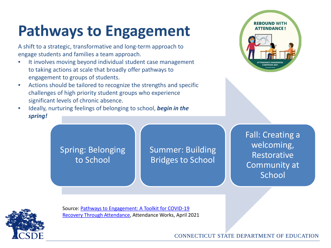# **Pathways to Engagement**

A shift to a strategic, transformative and long-term approach to engage students and families a team approach.

- It involves moving beyond individual student case management to taking actions at scale that broadly offer pathways to engagement to groups of students.
- Actions should be tailored to recognize the strengths and specific challenges of high priority student groups who experience significant levels of chronic absence.
- Ideally, nurturing feelings of belonging to school, *begin in the spring!*



Spring: Belonging to School

Summer: Building Bridges to School

Fall: Creating a welcoming, Restorative Community at **School** 



[Source: Pathways to Engagement: A Toolkit for COVID-19](https://www.attendanceworks.org/resources/toolkits/pathways-to-engagement-a-toolkit-for-covid-19-recovery-through-attendance/) Recovery Through Attendance, Attendance Works, April 2021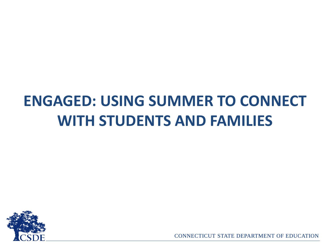# **ENGAGED: USING SUMMER TO CONNECT WITH STUDENTS AND FAMILIES**

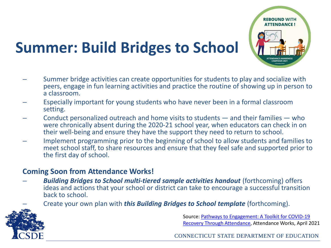# **Summer: Build Bridges to School**

- Summer bridge activities can create opportunities for students to play and socialize with peers, engage in fun learning activities and practice the routine of showing up in person to a classroom.
- Especially important for young students who have never been in a formal classroom setting.
- Conduct personalized outreach and home visits to students and their families who were chronically absent during the 2020-21 school year, when educators can check in on their well-being and ensure they have the support they need to return to school.
- Implement programming prior to the beginning of school to allow students and families to meet school staff, to share resources and ensure that they feel safe and supported prior to the first day of school.

#### **Coming Soon from Attendance Works!**

- *Building Bridges to School multi-tiered sample activities handout* (forthcoming) offers ideas and actions that your school or district can take to encourage a successful transition back to school.
	- Create your own plan with *this Building Bridges to School template* (forthcoming).

Source: Pathways to Engagement: A Toolkit for COVID-19 [Recovery Through Attendance, Attendance Works, April 2](https://www.attendanceworks.org/resources/toolkits/pathways-to-engagement-a-toolkit-for-covid-19-recovery-through-attendance/)021

**ATTENDANCE !** 

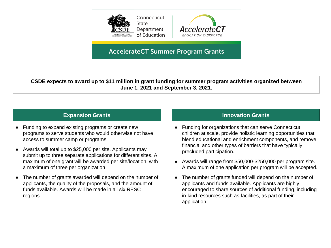



#### **AccelerateCT Summer Program Grants**

**CSDE expects to award up to \$11 million in grant funding for summer program activities organized between June 1, 2021 and September 3, 2021.** 

- Funding to expand existing programs or create new programs to serve students who would otherwise not have access to summer camp or programs.
- Awards will total up to \$25,000 per site. Applicants may submit up to three separate applications for different sites. A maximum of one grant will be awarded per site/location, with a maximum of three per organization
- The number of grants awarded will depend on the number of applicants, the quality of the proposals, and the amount of funds available. Awards will be made in all six RESC regions.

#### **Expansion Grants Innovation Grants Innovation Grants**

- Funding for organizations that can serve Connecticut children at scale, provide holistic learning opportunities that blend educational and enrichment components, and remove financial and other types of barriers that have typically precluded participation.
- Awards will range from \$50,000-\$250,000 per program site. A maximum of one application per program will be accepted.
- The number of grants funded will depend on the number of applicants and funds available. Applicants are highly encouraged to share sources of additional funding, including in-kind resources such as facilities, as part of their application.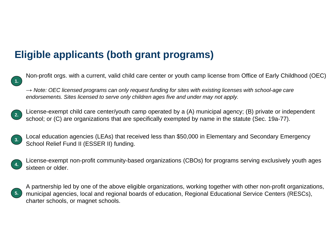#### **Eligible applicants (both grant programs)**

Non-profit orgs. with a current, valid child care center or youth camp license from Office of Early Childhood (OEC)

→ *Note: OEC licensed programs can only request funding for sites with existing licenses with school-age care endorsements. Sites licensed to serve only children ages five and under may not apply.*

2. License-exempt child care center/youth camp operated by a (A) municipal agency; (B) private or independent school; or (C) are organizations that are specifically exempted by name in the statute (Sec. 19a-77).

3. Local education agencies (LEAs) that received less than \$50,000 in Elementary and Secondary Emergency School Relief Fund II (ESSER II) funding.



**1.** 

License-exempt non-profit community-based organizations (CBOs) for programs serving exclusively youth ages sixteen or older.



A partnership led by one of the above eligible organizations, working together with other non-profit organizations, municipal agencies, local and regional boards of education, Regional Educational Service Centers (RESCs), charter schools, or magnet schools.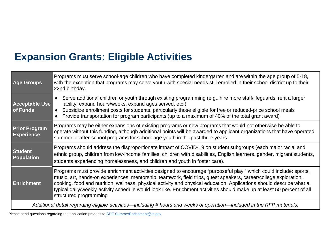### **Expansion Grants: Eligible Activities**

| <b>Age Groups</b>                                                                                                | Programs must serve school-age children who have completed kindergarten and are within the age group of 5-18,<br>with the exception that programs may serve youth with special needs still enrolled in their school district up to their<br>22nd birthday.                                                                                                                                                                                                                                                         |  |
|------------------------------------------------------------------------------------------------------------------|--------------------------------------------------------------------------------------------------------------------------------------------------------------------------------------------------------------------------------------------------------------------------------------------------------------------------------------------------------------------------------------------------------------------------------------------------------------------------------------------------------------------|--|
| <b>Acceptable Use</b><br>of Funds                                                                                | Serve additional children or youth through existing programming (e.g., hire more staff/lifeguards, rent a larger<br>facility, expand hours/weeks, expand ages served, etc.)<br>Subsidize enrollment costs for students, particularly those eligible for free or reduced-price school meals<br>Provide transportation for program participants (up to a maximum of 40% of the total grant award)                                                                                                                    |  |
| <b>Prior Program</b><br><b>Experience</b>                                                                        | Programs may be either expansions of existing programs or new programs that would not otherwise be able to<br>operate without this funding, although additional points will be awarded to applicant organizations that have operated<br>summer or after-school programs for school-age youth in the past three years.                                                                                                                                                                                              |  |
| <b>Student</b><br><b>Population</b>                                                                              | Programs should address the disproportionate impact of COVID-19 on student subgroups (each major racial and<br>ethnic group, children from low-income families, children with disabilities, English learners, gender, migrant students,<br>students experiencing homelessness, and children and youth in foster care).                                                                                                                                                                                             |  |
| <b>Enrichment</b>                                                                                                | Programs must provide enrichment activities designed to encourage "purposeful play," which could include: sports,<br>music, art, hands-on experiences, mentorship, teamwork, field trips, guest speakers, career/college exploration,<br>cooking, food and nutrition, wellness, physical activity and physical education. Applications should describe what a<br>typical daily/weekly activity schedule would look like. Enrichment activities should make up at least 50 percent of all<br>structured programming |  |
| Additional detail resemblance individual including # hours and weaks of eperation, included in the PED meterials |                                                                                                                                                                                                                                                                                                                                                                                                                                                                                                                    |  |

*Additional detail regarding eligible activities—including # hours and weeks of operation—included in the RFP materials.*

Please send questions regarding the application process to **SDE.SummerEnrichment@ct.gov**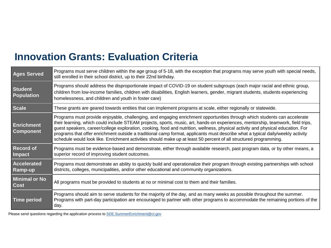### **Innovation Grants: Evaluation Criteria**

| <b>Ages Served</b>                    | Programs must serve children within the age group of 5-18, with the exception that programs may serve youth with special needs,<br>still enrolled in their school district, up to their 22nd birthday.                                                                                                                                                                                                                                                                                                                                                                                                                                                    |
|---------------------------------------|-----------------------------------------------------------------------------------------------------------------------------------------------------------------------------------------------------------------------------------------------------------------------------------------------------------------------------------------------------------------------------------------------------------------------------------------------------------------------------------------------------------------------------------------------------------------------------------------------------------------------------------------------------------|
| <b>Student</b><br><b>Population</b>   | Programs should address the disproportionate impact of COVID-19 on student subgroups (each major racial and ethnic group,<br>children from low-income families, children with disabilities, English learners, gender, migrant students, students experiencing<br>homelessness, and children and youth in foster care)                                                                                                                                                                                                                                                                                                                                     |
| <b>Scale</b>                          | These grants are geared towards entities that can implement programs at scale, either regionally or statewide.                                                                                                                                                                                                                                                                                                                                                                                                                                                                                                                                            |
| <b>Enrichment</b><br><b>Component</b> | Programs must provide enjoyable, challenging, and engaging enrichment opportunities through which students can accelerate<br>their learning, which could include STEAM projects, sports, music, art, hands-on experiences, mentorship, teamwork, field trips,<br>guest speakers, career/college exploration, cooking, food and nutrition, wellness, physical activity and physical education. For<br>programs that offer enrichment outside a traditional camp format, applicants must describe what a typical daily/weekly activity<br>schedule would look like. Enrichment activities should make up at least 50 percent of all structured programming. |
| <b>Record of</b><br>Impact            | Programs must be evidence-based and demonstrate, either through available research, past program data, or by other means, a<br>superior record of improving student outcomes.                                                                                                                                                                                                                                                                                                                                                                                                                                                                             |
| <b>Accelerated</b><br><b>Ramp-up</b>  | Programs must demonstrate an ability to quickly build and operationalize their program through existing partnerships with school<br>districts, colleges, municipalities, and/or other educational and community organizations.                                                                                                                                                                                                                                                                                                                                                                                                                            |
| <b>Minimal or No</b><br><b>Cost</b>   | All programs must be provided to students at no or minimal cost to them and their families.                                                                                                                                                                                                                                                                                                                                                                                                                                                                                                                                                               |
| Time period                           | Programs should aim to serve students for the majority of the day, and as many weeks as possible throughout the summer.<br>Programs with part-day participation are encouraged to partner with other programs to accommodate the remaining portions of the<br>day.                                                                                                                                                                                                                                                                                                                                                                                        |

Please send questions regarding the application process to **SDE.SummerEnrichment@ct.gov**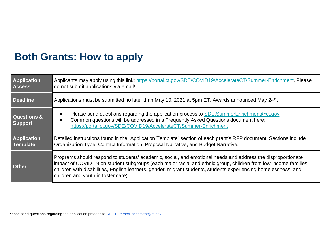#### **Both Grants: How to apply**

| Application<br><b>Access</b>             | Applicants may apply using this link: https://portal.ct.gov/SDE/COVID19/AccelerateCT/Summer-Enrichment. Please<br>do not submit applications via email!                                                                                                                                                                                                                                  |
|------------------------------------------|------------------------------------------------------------------------------------------------------------------------------------------------------------------------------------------------------------------------------------------------------------------------------------------------------------------------------------------------------------------------------------------|
| <b>Deadline</b>                          | Applications must be submitted no later than May 10, 2021 at 5pm ET. Awards announced May 24th.                                                                                                                                                                                                                                                                                          |
| <b>Questions &amp;</b><br><b>Support</b> | Please send questions regarding the application process to SDE. SummerEnrichment@ct.gov.<br>Common questions will be addressed in a Frequently Asked Questions document here:<br>https://portal.ct.gov/SDE/COVID19/AccelerateCT/Summer-Enrichment                                                                                                                                        |
| <b>Application</b><br>Template           | Detailed instructions found in the "Application Template" section of each grant's RFP document. Sections include<br>Organization Type, Contact Information, Proposal Narrative, and Budget Narrative.                                                                                                                                                                                    |
| <b>Other</b>                             | Programs should respond to students' academic, social, and emotional needs and address the disproportionate<br>impact of COVID-19 on student subgroups (each major racial and ethnic group, children from low-income families,<br>children with disabilities, English learners, gender, migrant students, students experiencing homelessness, and<br>children and youth in foster care). |

Please send questions regarding the application process to **SDE.SummerEnrichment@ct.gov**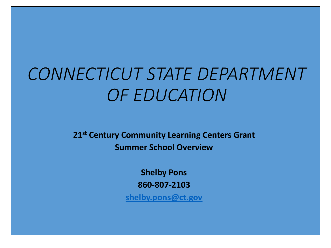# *CONNECTICUT STATE DEPARTMENT OF EDUCATION*

**21st Century Community Learning Centers Grant Summer School Overview**

> **Shelby Pons 860-807-2103**

**[shelby.pons@ct.gov](mailto:shelby.pons@ct.gov)**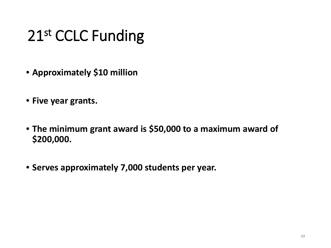# 21st CCLC Funding

- **Approximately \$10 million**
- **Five year grants.**
- **The minimum grant award is \$50,000 to a maximum award of \$200,000.**
- **Serves approximately 7,000 students per year.**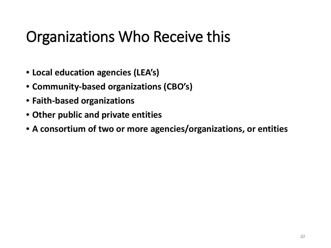## Organizations Who Receive this

- **Local education agencies (LEA's)**
- **Community-based organizations (CBO's)**
- **Faith-based organizations**
- **Other public and private entities**
- **A consortium of two or more agencies/organizations, or entities**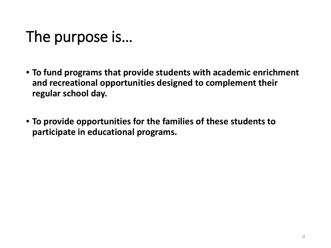# The purpose is…

- **To fund programs that provide students with academic enrichment and recreational opportunities designed to complement their regular school day.**
- **To provide opportunities for the families of these students to participate in educational programs.**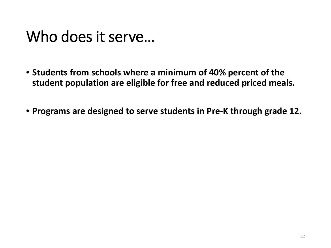## Who does it serve…

- **Students from schools where a minimum of 40% percent of the student population are eligible for free and reduced priced meals.**
- **Programs are designed to serve students in Pre-K through grade 12.**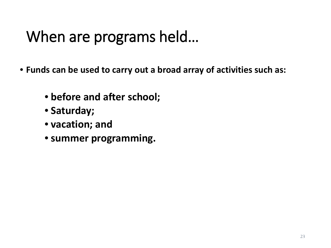# When are programs held…

- **Funds can be used to carry out a broad array of activities such as:**
	- **before and after school;**
	- **Saturday;**
	- **vacation; and**
	- **summer programming.**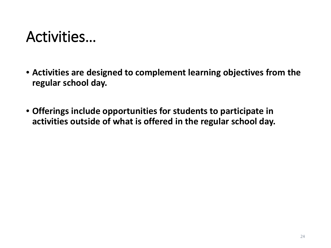## Activities…

- **Activities are designed to complement learning objectives from the regular school day.**
- **Offerings include opportunities for students to participate in activities outside of what is offered in the regular school day.**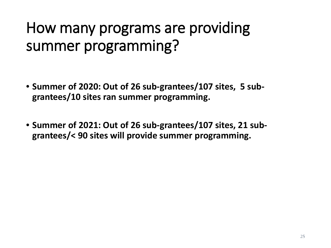## How many programs are providing summer programming?

- **Summer of 2020: Out of 26 sub-grantees/107 sites, 5 subgrantees/10 sites ran summer programming.**
- **Summer of 2021: Out of 26 sub-grantees/107 sites, 21 subgrantees/< 90 sites will provide summer programming.**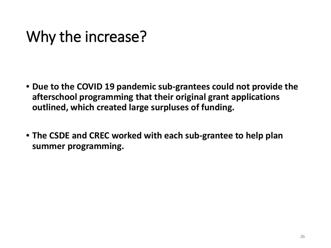# Why the increase?

- **Due to the COVID 19 pandemic sub-grantees could not provide the afterschool programming that their original grant applications outlined, which created large surpluses of funding.**
- **The CSDE and CREC worked with each sub-grantee to help plan summer programming.**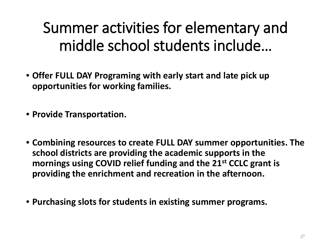Summer activities for elementary and middle school students include…

• **Offer FULL DAY Programing with early start and late pick up opportunities for working families.**

• **Provide Transportation.**

- **Combining resources to create FULL DAY summer opportunities. The school districts are providing the academic supports in the mornings using COVID relief funding and the 21st CCLC grant is providing the enrichment and recreation in the afternoon.**
- **Purchasing slots for students in existing summer programs.**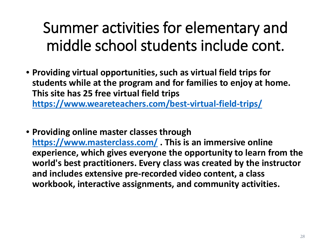# Summer activities for elementary and middle school students include cont.

- **Providing virtual opportunities, such as virtual field trips for students while at the program and for families to enjoy at home. This site has 25 free virtual field trips <https://www.weareteachers.com/best-virtual-field-trips/>**
- **Providing online master classes through <https://www.masterclass.com/> . This is an immersive online experience, which gives everyone the opportunity to learn from the world's best practitioners. Every class was created by the instructor and includes extensive pre-recorded video content, a class workbook, interactive assignments, and community activities.**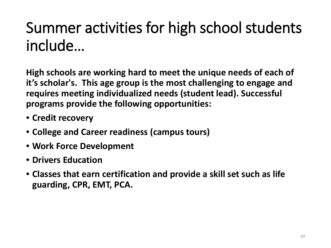# Summer activities for high school students include…

**High schools are working hard to meet the unique needs of each of it's scholar's. This age group is the most challenging to engage and requires meeting individualized needs (student lead). Successful programs provide the following opportunities:**

- **Credit recovery**
- **College and Career readiness (campus tours)**
- **Work Force Development**
- **Drivers Education**
- **Classes that earn certification and provide a skill set such as life guarding, CPR, EMT, PCA.**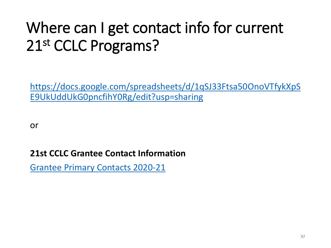# Where can I get contact info for current 21st CCLC Programs?

[https://docs.google.com/spreadsheets/d/1qSJ33Ftsa50OnoVTfykXpS](https://docs.google.com/spreadsheets/d/1qSJ33Ftsa50OnoVTfykXpSE9UkUddUkG0pncfihY0Rg/edit?usp=sharing) E9UkUddUkG0pncfihY0Rg/edit?usp=sharing

or

#### **21st CCLC Grantee Contact Information**

[Grantee Primary Contacts 2020-21](https://docs.google.com/spreadsheets/d/1qSJ33Ftsa50OnoVTfykXpSE9UkUddUkG0pncfihY0Rg/edit?usp=sharing)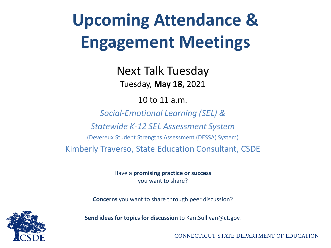# **Upcoming Attendance & Engagement Meetings**

Next Talk Tuesday Tuesday, **May 18,** 2021

10 to 11 a.m.

*Social-Emotional Learning (SEL) &*

*Statewide K-12 SEL Assessment System*

(Devereux Student Strengths Assessment (DESSA) System)

Kimberly Traverso, State Education Consultant, CSDE

Have a **promising practice or success**  you want to share?

**Concerns** you want to share through peer discussion?



**Send ideas for topics for discussion** to Kari.Sullivan@ct.gov.